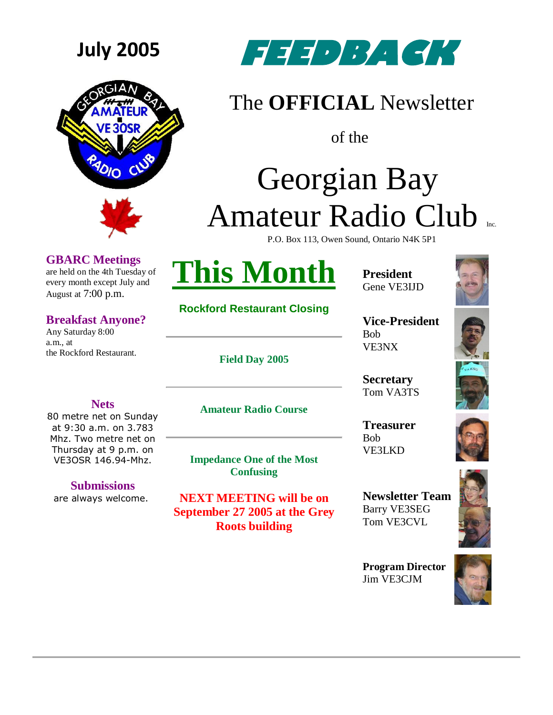



## **GBARC Meetings**

are held on the 4th Tuesday of every month except July and August at 7:00 p.m.

## **Breakfast Anyone?**

**Nets** 80 metre net on Sunday at 9:30 a.m. on 3.783 Mhz. Two metre net on Thursday at 9 p.m. on VE3OSR 146.94-Mhz.

**Submissions** are always welcome.

Any Saturday 8:00 a.m., at the Rockford Restaurant.



## The **OFFICIAL** Newsletter

of the

# Georgian Bay Amateur Radio Club

P.O. Box 113, Owen Sound, Ontario N4K 5P1



**Rockford Restaurant Closing**

**Field Day 2005**

**President** Gene VE3IJD



**Vice-President** Bob VE3NX

**Secretary** Tom VA3TS

**Treasurer** Bob VE3LKD



**Program Director** Jim VE3CJM





**Amateur Radio Course**

**Impedance One of the Most Confusing**

**NEXT MEETING will be on September 27 2005 at the Grey Roots building**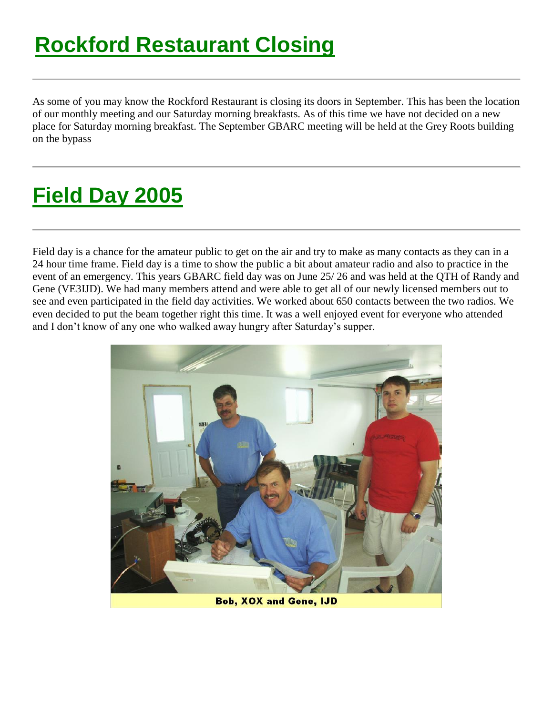As some of you may know the Rockford Restaurant is closing its doors in September. This has been the location of our monthly meeting and our Saturday morning breakfasts. As of this time we have not decided on a new place for Saturday morning breakfast. The September GBARC meeting will be held at the Grey Roots building on the bypass

# **Field Day 2005**

Field day is a chance for the amateur public to get on the air and try to make as many contacts as they can in a 24 hour time frame. Field day is a time to show the public a bit about amateur radio and also to practice in the event of an emergency. This years GBARC field day was on June 25/ 26 and was held at the QTH of Randy and Gene (VE3IJD). We had many members attend and were able to get all of our newly licensed members out to see and even participated in the field day activities. We worked about 650 contacts between the two radios. We even decided to put the beam together right this time. It was a well enjoyed event for everyone who attended and I don't know of any one who walked away hungry after Saturday's supper.



**Bob, XOX and Gene, IJD**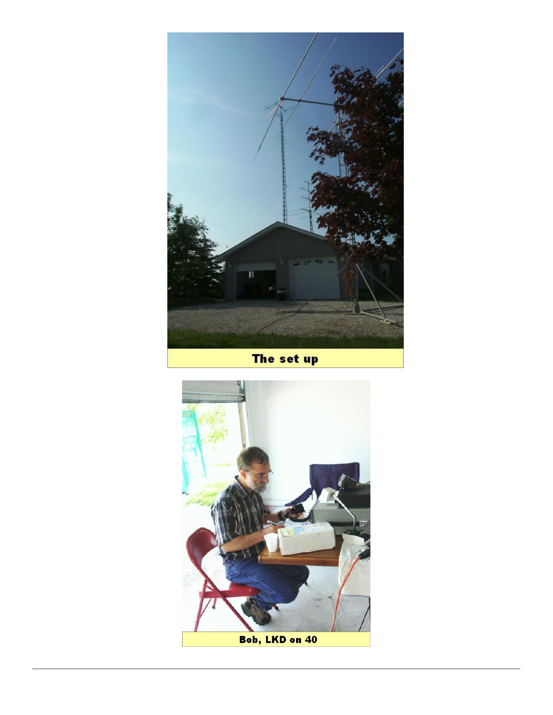

The set up